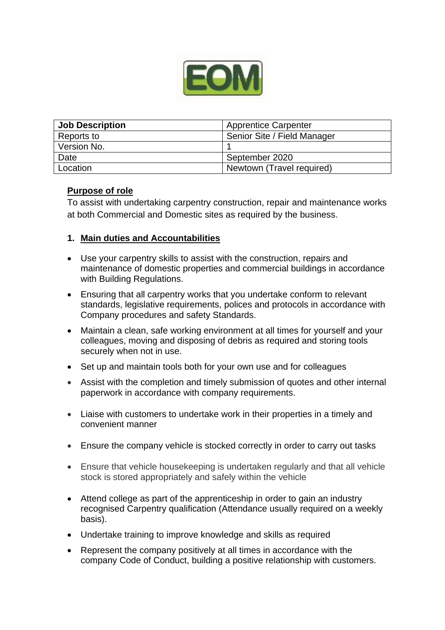

| <b>Job Description</b> | <b>Apprentice Carpenter</b> |
|------------------------|-----------------------------|
| Reports to             | Senior Site / Field Manager |
| Version No.            |                             |
| Date                   | September 2020              |
| Location               | Newtown (Travel required)   |

#### **Purpose of role**

To assist with undertaking carpentry construction, repair and maintenance works at both Commercial and Domestic sites as required by the business.

#### **1. Main duties and Accountabilities**

- Use your carpentry skills to assist with the construction, repairs and maintenance of domestic properties and commercial buildings in accordance with Building Regulations.
- Ensuring that all carpentry works that you undertake conform to relevant standards, legislative requirements, polices and protocols in accordance with Company procedures and safety Standards.
- Maintain a clean, safe working environment at all times for yourself and your colleagues, moving and disposing of debris as required and storing tools securely when not in use.
- Set up and maintain tools both for your own use and for colleagues
- Assist with the completion and timely submission of quotes and other internal paperwork in accordance with company requirements.
- Liaise with customers to undertake work in their properties in a timely and convenient manner
- Ensure the company vehicle is stocked correctly in order to carry out tasks
- Ensure that vehicle housekeeping is undertaken regularly and that all vehicle stock is stored appropriately and safely within the vehicle
- Attend college as part of the apprenticeship in order to gain an industry recognised Carpentry qualification (Attendance usually required on a weekly basis).
- Undertake training to improve knowledge and skills as required
- Represent the company positively at all times in accordance with the company Code of Conduct, building a positive relationship with customers.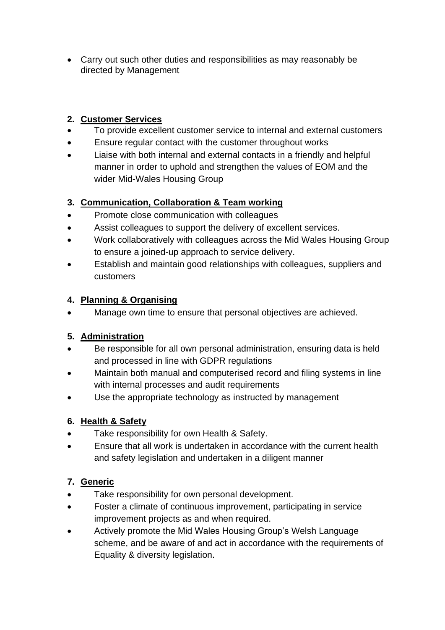Carry out such other duties and responsibilities as may reasonably be directed by Management

## **2. Customer Services**

- To provide excellent customer service to internal and external customers
- Ensure regular contact with the customer throughout works
- Liaise with both internal and external contacts in a friendly and helpful manner in order to uphold and strengthen the values of EOM and the wider Mid-Wales Housing Group

### **3. Communication, Collaboration & Team working**

- Promote close communication with colleagues
- Assist colleagues to support the delivery of excellent services.
- Work collaboratively with colleagues across the Mid Wales Housing Group to ensure a joined-up approach to service delivery.
- Establish and maintain good relationships with colleagues, suppliers and customers

### **4. Planning & Organising**

Manage own time to ensure that personal objectives are achieved.

# **5. Administration**

- Be responsible for all own personal administration, ensuring data is held and processed in line with GDPR regulations
- Maintain both manual and computerised record and filing systems in line with internal processes and audit requirements
- Use the appropriate technology as instructed by management

# **6. Health & Safety**

- Take responsibility for own Health & Safety.
- Ensure that all work is undertaken in accordance with the current health and safety legislation and undertaken in a diligent manner

# **7. Generic**

- Take responsibility for own personal development.
- Foster a climate of continuous improvement, participating in service improvement projects as and when required.
- Actively promote the Mid Wales Housing Group's Welsh Language scheme, and be aware of and act in accordance with the requirements of Equality & diversity legislation.